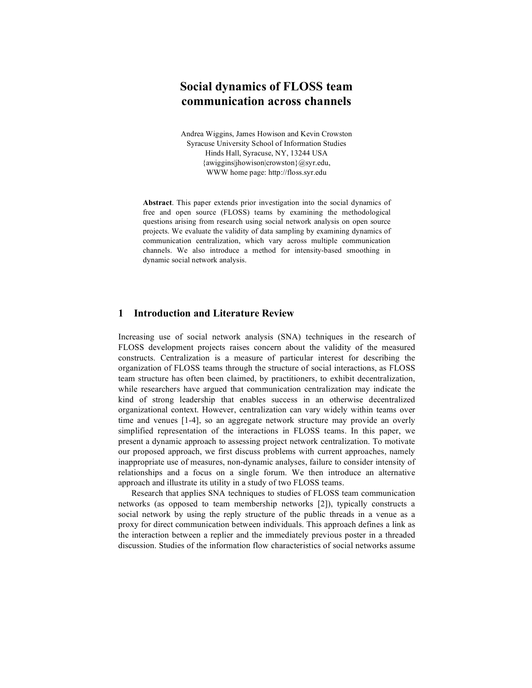# **Social dynamics of FLOSS team communication across channels**

Andrea Wiggins, James Howison and Kevin Crowston Syracuse University School of Information Studies Hinds Hall, Syracuse, NY, 13244 USA {awiggins|jhowison|crowston}@syr.edu, WWW home page: http://floss.syr.edu

**Abstract**. This paper extends prior investigation into the social dynamics of free and open source (FLOSS) teams by examining the methodological questions arising from research using social network analysis on open source projects. We evaluate the validity of data sampling by examining dynamics of communication centralization, which vary across multiple communication channels. We also introduce a method for intensity-based smoothing in dynamic social network analysis.

### **1 Introduction and Literature Review**

Increasing use of social network analysis (SNA) techniques in the research of FLOSS development projects raises concern about the validity of the measured constructs. Centralization is a measure of particular interest for describing the organization of FLOSS teams through the structure of social interactions, as FLOSS team structure has often been claimed, by practitioners, to exhibit decentralization, while researchers have argued that communication centralization may indicate the kind of strong leadership that enables success in an otherwise decentralized organizational context. However, centralization can vary widely within teams over time and venues [1-4], so an aggregate network structure may provide an overly simplified representation of the interactions in FLOSS teams. In this paper, we present a dynamic approach to assessing project network centralization. To motivate our proposed approach, we first discuss problems with current approaches, namely inappropriate use of measures, non-dynamic analyses, failure to consider intensity of relationships and a focus on a single forum. We then introduce an alternative approach and illustrate its utility in a study of two FLOSS teams.

Research that applies SNA techniques to studies of FLOSS team communication networks (as opposed to team membership networks [2]), typically constructs a social network by using the reply structure of the public threads in a venue as a proxy for direct communication between individuals. This approach defines a link as the interaction between a replier and the immediately previous poster in a threaded discussion. Studies of the information flow characteristics of social networks assume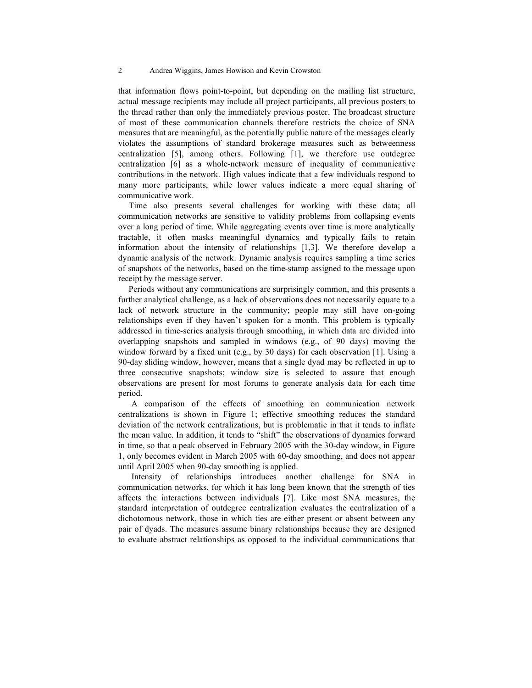that information flows point-to-point, but depending on the mailing list structure, actual message recipients may include all project participants, all previous posters to the thread rather than only the immediately previous poster. The broadcast structure of most of these communication channels therefore restricts the choice of SNA measures that are meaningful, as the potentially public nature of the messages clearly violates the assumptions of standard brokerage measures such as betweenness centralization [5], among others. Following [1], we therefore use outdegree centralization [6] as a whole-network measure of inequality of communicative contributions in the network. High values indicate that a few individuals respond to many more participants, while lower values indicate a more equal sharing of communicative work.

Time also presents several challenges for working with these data; all communication networks are sensitive to validity problems from collapsing events over a long period of time. While aggregating events over time is more analytically tractable, it often masks meaningful dynamics and typically fails to retain information about the intensity of relationships [1,3]. We therefore develop a dynamic analysis of the network. Dynamic analysis requires sampling a time series of snapshots of the networks, based on the time-stamp assigned to the message upon receipt by the message server.

Periods without any communications are surprisingly common, and this presents a further analytical challenge, as a lack of observations does not necessarily equate to a lack of network structure in the community; people may still have on-going relationships even if they haven't spoken for a month. This problem is typically addressed in time-series analysis through smoothing, in which data are divided into overlapping snapshots and sampled in windows (e.g., of 90 days) moving the window forward by a fixed unit (e.g., by 30 days) for each observation [1]. Using a 90-day sliding window, however, means that a single dyad may be reflected in up to three consecutive snapshots; window size is selected to assure that enough observations are present for most forums to generate analysis data for each time period.

A comparison of the effects of smoothing on communication network centralizations is shown in Figure 1; effective smoothing reduces the standard deviation of the network centralizations, but is problematic in that it tends to inflate the mean value. In addition, it tends to "shift" the observations of dynamics forward in time, so that a peak observed in February 2005 with the 30-day window, in Figure 1, only becomes evident in March 2005 with 60-day smoothing, and does not appear until April 2005 when 90-day smoothing is applied.

Intensity of relationships introduces another challenge for SNA in communication networks, for which it has long been known that the strength of ties affects the interactions between individuals [7]. Like most SNA measures, the standard interpretation of outdegree centralization evaluates the centralization of a dichotomous network, those in which ties are either present or absent between any pair of dyads. The measures assume binary relationships because they are designed to evaluate abstract relationships as opposed to the individual communications that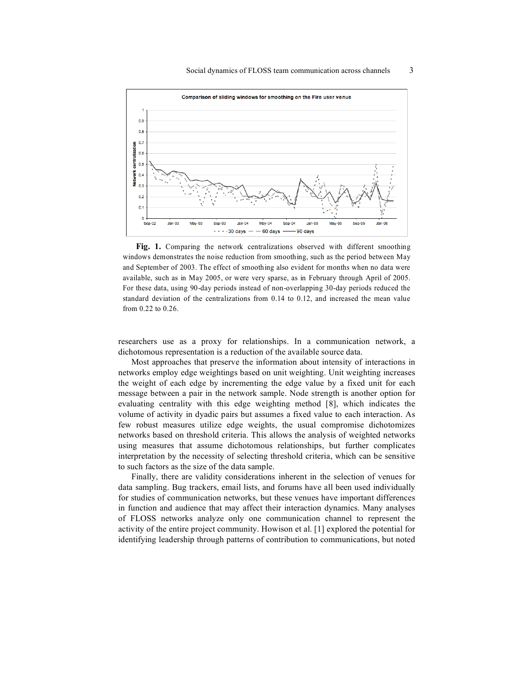

Fig. 1. Comparing the network centralizations observed with different smoothing windows demonstrates the noise reduction from smoothing, such as the period between May and September of 2003. The effect of smoothing also evident for months when no data were available, such as in May 2005, or were very sparse, as in February through April of 2005. For these data, using 90-day periods instead of non-overlapping 30-day periods reduced the standard deviation of the centralizations from 0.14 to 0.12, and increased the mean value from 0.22 to 0.26.

researchers use as a proxy for relationships. In a communication network, a dichotomous representation is a reduction of the available source data.

Most approaches that preserve the information about intensity of interactions in networks employ edge weightings based on unit weighting. Unit weighting increases the weight of each edge by incrementing the edge value by a fixed unit for each message between a pair in the network sample. Node strength is another option for evaluating centrality with this edge weighting method [8], which indicates the volume of activity in dyadic pairs but assumes a fixed value to each interaction. As few robust measures utilize edge weights, the usual compromise dichotomizes networks based on threshold criteria. This allows the analysis of weighted networks using measures that assume dichotomous relationships, but further complicates interpretation by the necessity of selecting threshold criteria, which can be sensitive to such factors as the size of the data sample.

Finally, there are validity considerations inherent in the selection of venues for data sampling. Bug trackers, email lists, and forums have all been used individually for studies of communication networks, but these venues have important differences in function and audience that may affect their interaction dynamics. Many analyses of FLOSS networks analyze only one communication channel to represent the activity of the entire project community. Howison et al. [1] explored the potential for identifying leadership through patterns of contribution to communications, but noted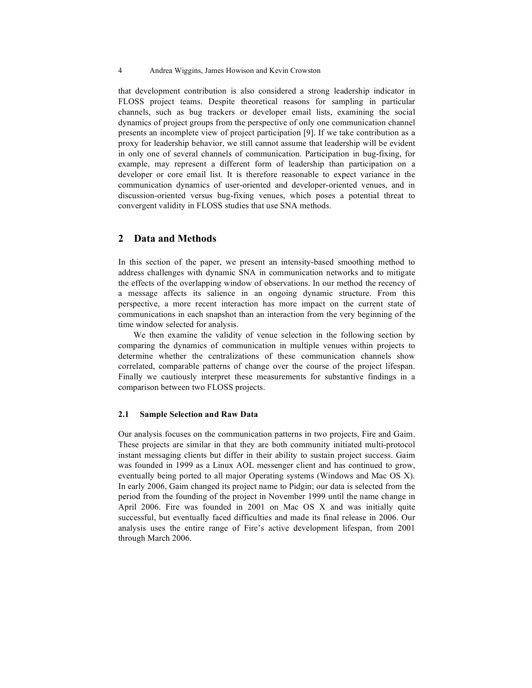that development contribution is also considered a strong leadership indicator in FLOSS project teams. Despite theoretical reasons for sampling in particular channels, such as bug trackers or developer email lists, examining the social dynamics of project groups from the perspective of only one communication channel presents an incomplete view of project participation [9]. If we take contribution as a proxy for leadership behavior, we still cannot assume that leadership will be evident in only one of several channels of communication. Participation in bug-fixing, for example, may represent a different form of leadership than participation on a developer or core email list. It is therefore reasonable to expect variance in the communication dynamics of user-oriented and developer-oriented venues, and in discussion-oriented versus bug-fixing venues, which poses a potential threat to convergent validity in FLOSS studies that use SNA methods.

### **2 Data and Methods**

In this section of the paper, we present an intensity-based smoothing method to address challenges with dynamic SNA in communication networks and to mitigate the effects of the overlapping window of observations. In our method the recency of a message affects its salience in an ongoing dynamic structure. From this perspective, a more recent interaction has more impact on the current state of communications in each snapshot than an interaction from the very beginning of the time window selected for analysis.

We then examine the validity of venue selection in the following section by comparing the dynamics of communication in multiple venues within projects to determine whether the centralizations of these communication channels show correlated, comparable patterns of change over the course of the project lifespan. Finally we cautiously interpret these measurements for substantive findings in a comparison between two FLOSS projects.

#### **2.1 Sample Selection and Raw Data**

Our analysis focuses on the communication patterns in two projects, Fire and Gaim. These projects are similar in that they are both community initiated multi-protocol instant messaging clients but differ in their ability to sustain project success. Gaim was founded in 1999 as a Linux AOL messenger client and has continued to grow, eventually being ported to all major Operating systems (Windows and Mac OS X). In early 2006, Gaim changed its project name to Pidgin; our data is selected from the period from the founding of the project in November 1999 until the name change in April 2006. Fire was founded in 2001 on Mac OS X and was initially quite successful, but eventually faced difficulties and made its final release in 2006. Our analysis uses the entire range of Fire's active development lifespan, from 2001 through March 2006.

<sup>4</sup> Andrea Wiggins, James Howison and Kevin Crowston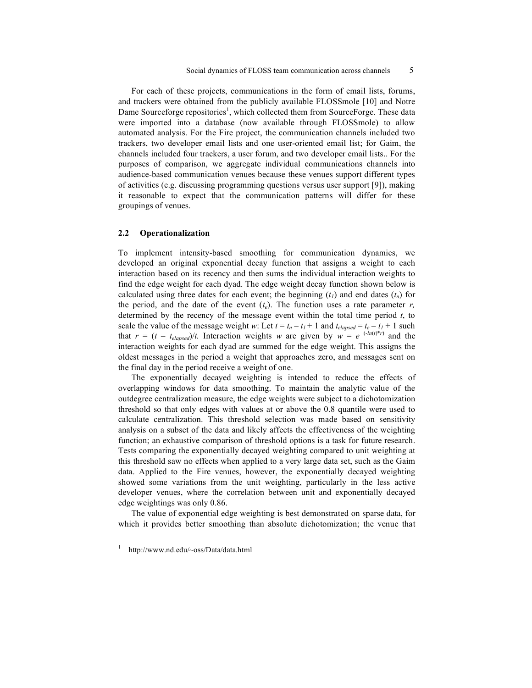For each of these projects, communications in the form of email lists, forums, and trackers were obtained from the publicly available FLOSSmole [10] and Notre Dame Sourceforge repositories<sup>1</sup>, which collected them from SourceForge. These data were imported into a database (now available through FLOSSmole) to allow automated analysis. For the Fire project, the communication channels included two trackers, two developer email lists and one user-oriented email list; for Gaim, the channels included four trackers, a user forum, and two developer email lists.. For the purposes of comparison, we aggregate individual communications channels into audience-based communication venues because these venues support different types of activities (e.g. discussing programming questions versus user support [9]), making it reasonable to expect that the communication patterns will differ for these groupings of venues.

#### **2.2 Operationalization**

To implement intensity-based smoothing for communication dynamics, we developed an original exponential decay function that assigns a weight to each interaction based on its recency and then sums the individual interaction weights to find the edge weight for each dyad. The edge weight decay function shown below is calculated using three dates for each event; the beginning  $(t_1)$  and end dates  $(t_n)$  for the period, and the date of the event  $(t<sub>e</sub>)$ . The function uses a rate parameter *r*, determined by the recency of the message event within the total time period *t*, to scale the value of the message weight *w*: Let  $t = t_n - t_1 + 1$  and  $t_{elapsed} = t_e - t_1 + 1$  such that  $r = (t - t_{elapse})/t$ . Interaction weights *w* are given by  $w = e^{(-t n(t)*r)}$  and the interaction weights for each dyad are summed for the edge weight. This assigns the oldest messages in the period a weight that approaches zero, and messages sent on the final day in the period receive a weight of one.

The exponentially decayed weighting is intended to reduce the effects of overlapping windows for data smoothing. To maintain the analytic value of the outdegree centralization measure, the edge weights were subject to a dichotomization threshold so that only edges with values at or above the 0.8 quantile were used to calculate centralization. This threshold selection was made based on sensitivity analysis on a subset of the data and likely affects the effectiveness of the weighting function; an exhaustive comparison of threshold options is a task for future research. Tests comparing the exponentially decayed weighting compared to unit weighting at this threshold saw no effects when applied to a very large data set, such as the Gaim data. Applied to the Fire venues, however, the exponentially decayed weighting showed some variations from the unit weighting, particularly in the less active developer venues, where the correlation between unit and exponentially decayed edge weightings was only 0.86.

The value of exponential edge weighting is best demonstrated on sparse data, for which it provides better smoothing than absolute dichotomization; the venue that

<sup>1</sup> http://www.nd.edu/~oss/Data/data.html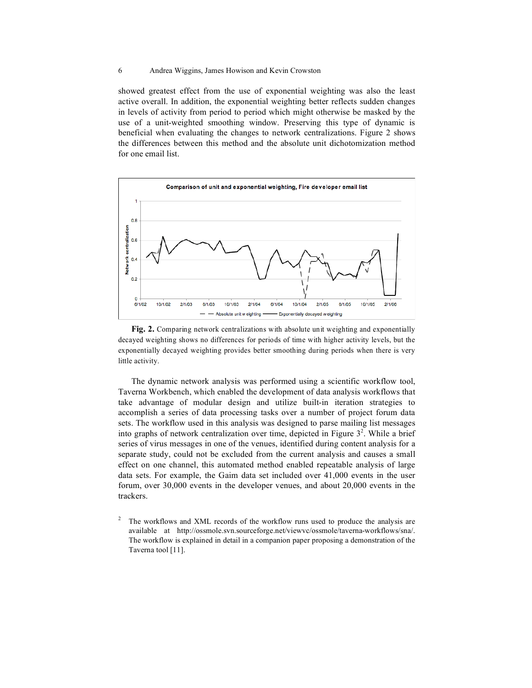showed greatest effect from the use of exponential weighting was also the least active overall. In addition, the exponential weighting better reflects sudden changes in levels of activity from period to period which might otherwise be masked by the use of a unit-weighted smoothing window. Preserving this type of dynamic is beneficial when evaluating the changes to network centralizations. Figure 2 shows the differences between this method and the absolute unit dichotomization method for one email list.



**Fig. 2.** Comparing network centralizations with absolute unit weighting and exponentially decayed weighting shows no differences for periods of time with higher activity levels, but the exponentially decayed weighting provides better smoothing during periods when there is very little activity.

The dynamic network analysis was performed using a scientific workflow tool, Taverna Workbench, which enabled the development of data analysis workflows that take advantage of modular design and utilize built-in iteration strategies to accomplish a series of data processing tasks over a number of project forum data sets. The workflow used in this analysis was designed to parse mailing list messages into graphs of network centralization over time, depicted in Figure  $3<sup>2</sup>$ . While a brief series of virus messages in one of the venues, identified during content analysis for a separate study, could not be excluded from the current analysis and causes a small effect on one channel, this automated method enabled repeatable analysis of large data sets. For example, the Gaim data set included over 41,000 events in the user forum, over 30,000 events in the developer venues, and about 20,000 events in the trackers.

<sup>2</sup> The workflows and XML records of the workflow runs used to produce the analysis are available at http://ossmole.svn.sourceforge.net/viewvc/ossmole/taverna-workflows/sna/. The workflow is explained in detail in a companion paper proposing a demonstration of the Taverna tool [11].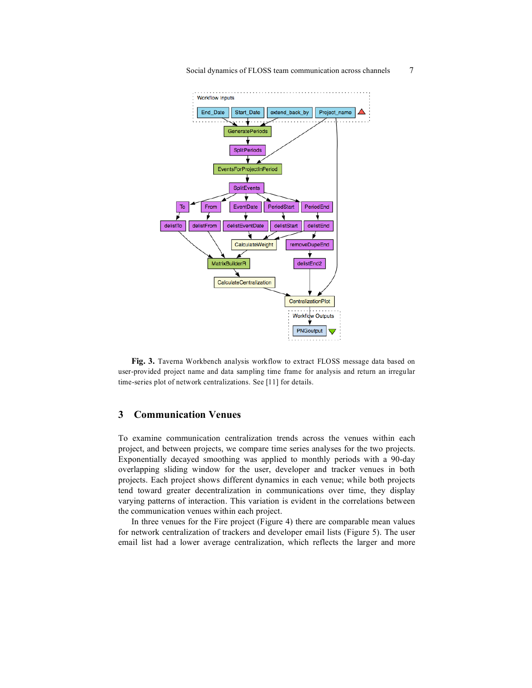

**Fig. 3.** Taverna Workbench analysis workflow to extract FLOSS message data based on user-provided project name and data sampling time frame for analysis and return an irregular time-series plot of network centralizations. See [11] for details.

## **3 Communication Venues**

To examine communication centralization trends across the venues within each project, and between projects, we compare time series analyses for the two projects. Exponentially decayed smoothing was applied to monthly periods with a 90-day overlapping sliding window for the user, developer and tracker venues in both projects. Each project shows different dynamics in each venue; while both projects tend toward greater decentralization in communications over time, they display varying patterns of interaction. This variation is evident in the correlations between the communication venues within each project.

In three venues for the Fire project (Figure 4) there are comparable mean values for network centralization of trackers and developer email lists (Figure 5). The user email list had a lower average centralization, which reflects the larger and more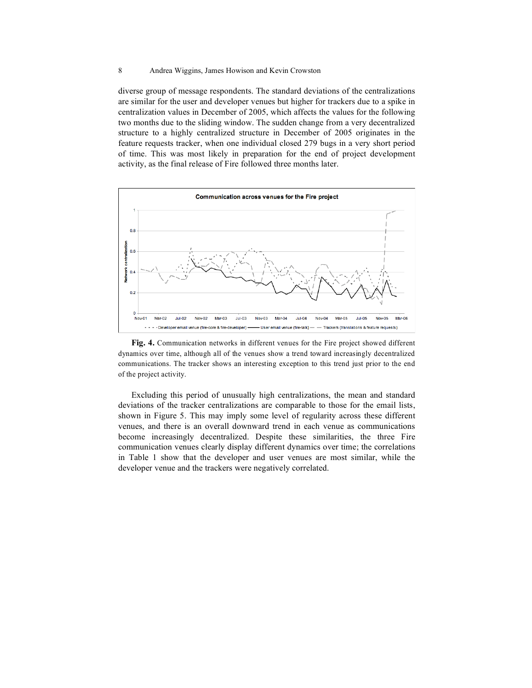diverse group of message respondents. The standard deviations of the centralizations are similar for the user and developer venues but higher for trackers due to a spike in centralization values in December of 2005, which affects the values for the following two months due to the sliding window. The sudden change from a very decentralized structure to a highly centralized structure in December of 2005 originates in the feature requests tracker, when one individual closed 279 bugs in a very short period of time. This was most likely in preparation for the end of project development activity, as the final release of Fire followed three months later.



**Fig. 4.** Communication networks in different venues for the Fire project showed different dynamics over time, although all of the venues show a trend toward increasingly decentralized communications. The tracker shows an interesting exception to this trend just prior to the end of the project activity.

Excluding this period of unusually high centralizations, the mean and standard deviations of the tracker centralizations are comparable to those for the email lists, shown in Figure 5. This may imply some level of regularity across these different venues, and there is an overall downward trend in each venue as communications become increasingly decentralized. Despite these similarities, the three Fire communication venues clearly display different dynamics over time; the correlations in Table 1 show that the developer and user venues are most similar, while the developer venue and the trackers were negatively correlated.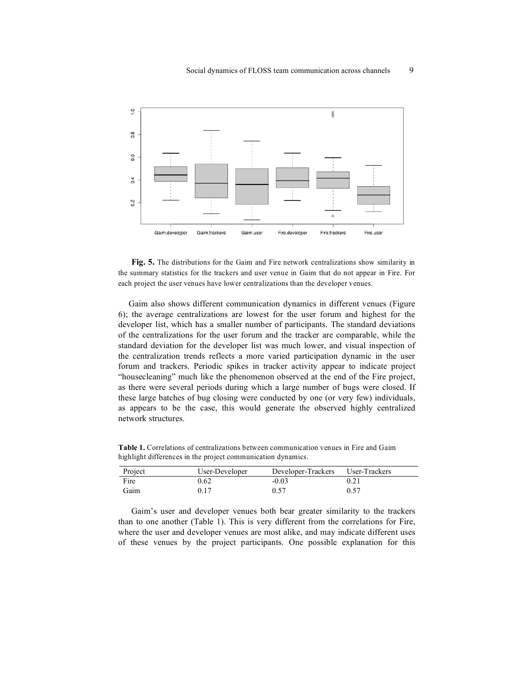

**Fig. 5.** The distributions for the Gaim and Fire network centralizations show similarity in the summary statistics for the trackers and user venue in Gaim that do not appear in Fire. For each project the user venues have lower centralizations than the developer venues.

Gaim also shows different communication dynamics in different venues (Figure 6); the average centralizations are lowest for the user forum and highest for the developer list, which has a smaller number of participants. The standard deviations of the centralizations for the user forum and the tracker are comparable, while the standard deviation for the developer list was much lower, and visual inspection of the centralization trends reflects a more varied participation dynamic in the user forum and trackers. Periodic spikes in tracker activity appear to indicate project "housecleaning" much like the phenomenon observed at the end of the Fire project, as there were several periods during which a large number of bugs were closed. If these large batches of bug closing were conducted by one (or very few) individuals, as appears to be the case, this would generate the observed highly centralized network structures.

| highlight differences in the project communication dynamics. |                |                    |               |  |
|--------------------------------------------------------------|----------------|--------------------|---------------|--|
| Project                                                      | User-Developer | Developer-Trackers | User-Trackers |  |
| Fire                                                         | 0.62           | $-0.03$            | 0.21          |  |

**Table 1.** Correlations of centralizations between communication venues in Fire and Gaim highlight differences in the project communication dynamics.

Gaim 0.17 0.57 0.57 0.57

Gaim's user and developer venues both bear greater similarity to the trackers than to one another (Table 1). This is very different from the correlations for Fire, where the user and developer venues are most alike, and may indicate different uses of these venues by the project participants. One possible explanation for this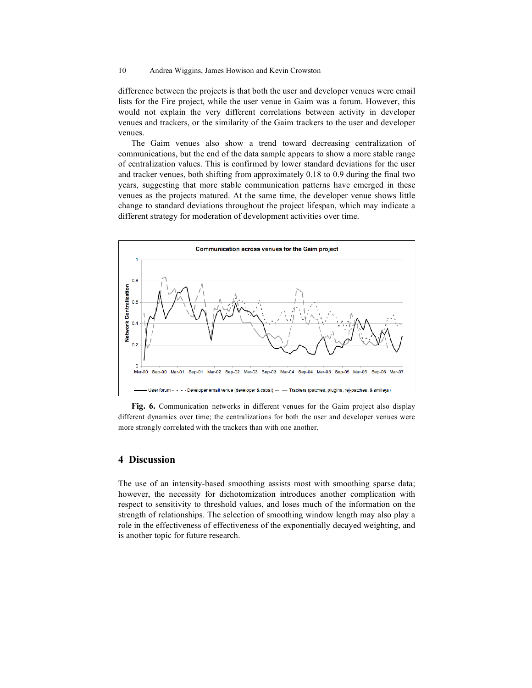difference between the projects is that both the user and developer venues were email lists for the Fire project, while the user venue in Gaim was a forum. However, this would not explain the very different correlations between activity in developer venues and trackers, or the similarity of the Gaim trackers to the user and developer venues.

The Gaim venues also show a trend toward decreasing centralization of communications, but the end of the data sample appears to show a more stable range of centralization values. This is confirmed by lower standard deviations for the user and tracker venues, both shifting from approximately 0.18 to 0.9 during the final two years, suggesting that more stable communication patterns have emerged in these venues as the projects matured. At the same time, the developer venue shows little change to standard deviations throughout the project lifespan, which may indicate a different strategy for moderation of development activities over time.



**Fig. 6.** Communication networks in different venues for the Gaim project also display different dynamics over time; the centralizations for both the user and developer venues were more strongly correlated with the trackers than with one another.

## **4 Discussion**

The use of an intensity-based smoothing assists most with smoothing sparse data; however, the necessity for dichotomization introduces another complication with respect to sensitivity to threshold values, and loses much of the information on the strength of relationships. The selection of smoothing window length may also play a role in the effectiveness of effectiveness of the exponentially decayed weighting, and is another topic for future research.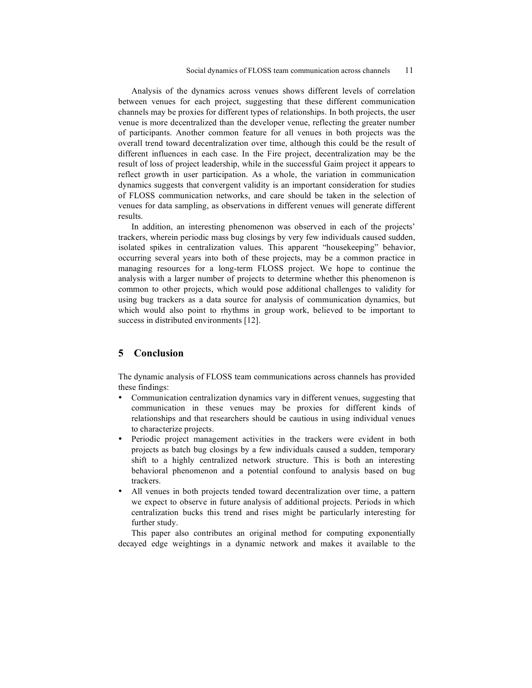Analysis of the dynamics across venues shows different levels of correlation between venues for each project, suggesting that these different communication channels may be proxies for different types of relationships. In both projects, the user venue is more decentralized than the developer venue, reflecting the greater number of participants. Another common feature for all venues in both projects was the overall trend toward decentralization over time, although this could be the result of different influences in each case. In the Fire project, decentralization may be the result of loss of project leadership, while in the successful Gaim project it appears to reflect growth in user participation. As a whole, the variation in communication dynamics suggests that convergent validity is an important consideration for studies of FLOSS communication networks, and care should be taken in the selection of venues for data sampling, as observations in different venues will generate different results.

In addition, an interesting phenomenon was observed in each of the projects' trackers, wherein periodic mass bug closings by very few individuals caused sudden, isolated spikes in centralization values. This apparent "housekeeping" behavior, occurring several years into both of these projects, may be a common practice in managing resources for a long-term FLOSS project. We hope to continue the analysis with a larger number of projects to determine whether this phenomenon is common to other projects, which would pose additional challenges to validity for using bug trackers as a data source for analysis of communication dynamics, but which would also point to rhythms in group work, believed to be important to success in distributed environments [12].

## **5 Conclusion**

The dynamic analysis of FLOSS team communications across channels has provided these findings:

- Communication centralization dynamics vary in different venues, suggesting that communication in these venues may be proxies for different kinds of relationships and that researchers should be cautious in using individual venues to characterize projects.
- Periodic project management activities in the trackers were evident in both projects as batch bug closings by a few individuals caused a sudden, temporary shift to a highly centralized network structure. This is both an interesting behavioral phenomenon and a potential confound to analysis based on bug trackers.
- All venues in both projects tended toward decentralization over time, a pattern we expect to observe in future analysis of additional projects. Periods in which centralization bucks this trend and rises might be particularly interesting for further study.

This paper also contributes an original method for computing exponentially decayed edge weightings in a dynamic network and makes it available to the